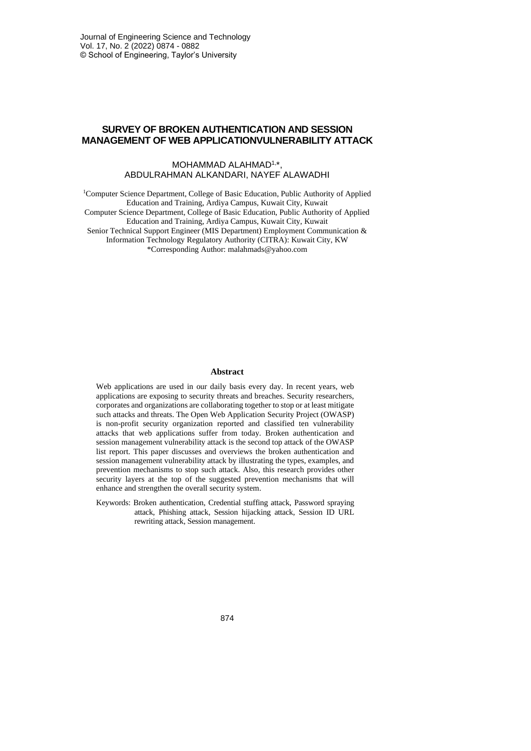## **SURVEY OF BROKEN AUTHENTICATION AND SESSION MANAGEMENT OF WEB APPLICATIONVULNERABILITY ATTACK**

### MOHAMMAD ALAHMAD1,\*, ABDULRAHMAN ALKANDARI, NAYEF ALAWADHI

<sup>1</sup>Computer Science Department, College of Basic Education, Public Authority of Applied Education and Training, Ardiya Campus, Kuwait City, Kuwait Computer Science Department, College of Basic Education, Public Authority of Applied Education and Training, Ardiya Campus, Kuwait City, Kuwait Senior Technical Support Engineer (MIS Department) Employment Communication & Information Technology Regulatory Authority (CITRA): Kuwait City, KW \*Corresponding Author: malahmads@yahoo.com

#### **Abstract**

Web applications are used in our daily basis every day. In recent years, web applications are exposing to security threats and breaches. Security researchers, corporates and organizations are collaborating together to stop or at least mitigate such attacks and threats. The Open Web Application Security Project (OWASP) is non-profit security organization reported and classified ten vulnerability attacks that web applications suffer from today. Broken authentication and session management vulnerability attack is the second top attack of the OWASP list report. This paper discusses and overviews the broken authentication and session management vulnerability attack by illustrating the types, examples, and prevention mechanisms to stop such attack. Also, this research provides other security layers at the top of the suggested prevention mechanisms that will enhance and strengthen the overall security system.

Keywords: Broken authentication, Credential stuffing attack, Password spraying attack, Phishing attack, Session hijacking attack, Session ID URL rewriting attack, Session management.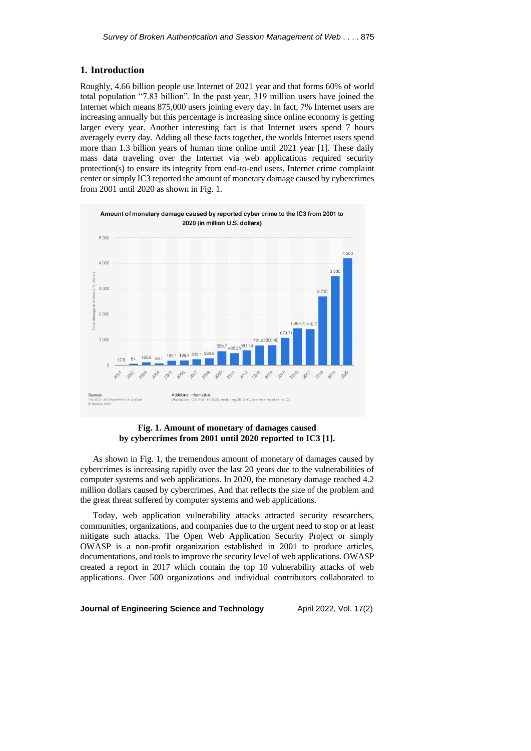### **1. Introduction**

Roughly, 4.66 billion people use Internet of 2021 year and that forms 60% of world total population "7.83 billion". In the past year, 319 million users have joined the Internet which means 875,000 users joining every day. In fact, 7% Internet users are increasing annually but this percentage is increasing since online economy is getting larger every year. Another interesting fact is that Internet users spend 7 hours averagely every day. Adding all these facts together, the worlds Internet users spend more than 1.3 billion years of human time online until 2021 year [1]. These daily mass data traveling over the Internet via web applications required security protection(s) to ensure its integrity from end-to-end users. Internet crime complaint center or simply IC3 reported the amount of monetary damage caused by cybercrimes from 2001 until 2020 as shown in Fig. 1.



### **Fig. 1. Amount of monetary of damages caused by cybercrimes from 2001 until 2020 reported to IC3 [1].**

As shown in Fig. 1, the tremendous amount of monetary of damages caused by cybercrimes is increasing rapidly over the last 20 years due to the vulnerabilities of computer systems and web applications. In 2020, the monetary damage reached 4.2 million dollars caused by cybercrimes. And that reflects the size of the problem and the great threat suffered by computer systems and web applications.

Today, web application vulnerability attacks attracted security researchers, communities, organizations, and companies due to the urgent need to stop or at least mitigate such attacks. The Open Web Application Security Project or simply OWASP is a non-profit organization established in 2001 to produce articles, documentations, and tools to improve the security level of web applications. OWASP created a report in 2017 which contain the top 10 vulnerability attacks of web applications. Over 500 organizations and individual contributors collaborated to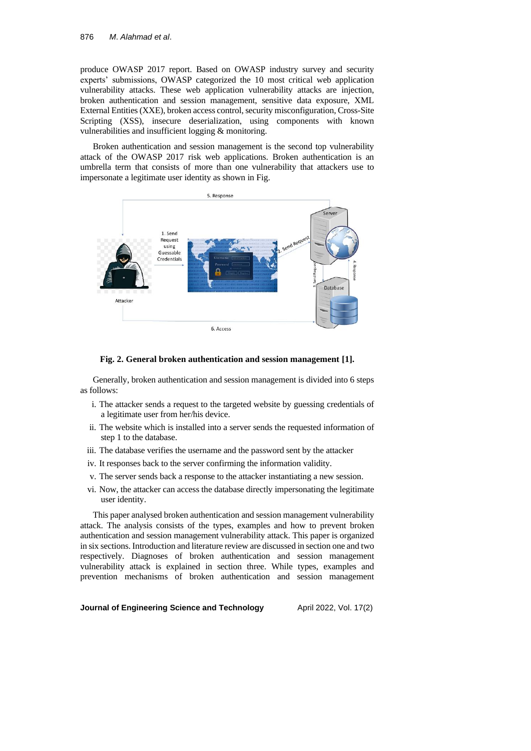produce OWASP 2017 report. Based on OWASP industry survey and security experts' submissions, OWASP categorized the 10 most critical web application vulnerability attacks. These web application vulnerability attacks are injection, broken authentication and session management, sensitive data exposure, XML External Entities (XXE), broken access control, security misconfiguration, Cross-Site Scripting (XSS), insecure deserialization, using components with known vulnerabilities and insufficient logging & monitoring.

Broken authentication and session management is the second top vulnerability attack of the OWASP 2017 risk web applications. Broken authentication is an umbrella term that consists of more than one vulnerability that attackers use to impersonate a legitimate user identity as shown in Fig.



#### **Fig. 2. General broken authentication and session management [1].**

Generally, broken authentication and session management is divided into 6 steps as follows:

- i. The attacker sends a request to the targeted website by guessing credentials of a legitimate user from her/his device.
- ii. The website which is installed into a server sends the requested information of step 1 to the database.
- iii. The database verifies the username and the password sent by the attacker
- iv. It responses back to the server confirming the information validity.
- v. The server sends back a response to the attacker instantiating a new session.
- vi. Now, the attacker can access the database directly impersonating the legitimate user identity.

This paper analysed broken authentication and session management vulnerability attack. The analysis consists of the types, examples and how to prevent broken authentication and session management vulnerability attack. This paper is organized in six sections. Introduction and literature review are discussed in section one and two respectively. Diagnoses of broken authentication and session management vulnerability attack is explained in section three. While types, examples and prevention mechanisms of broken authentication and session management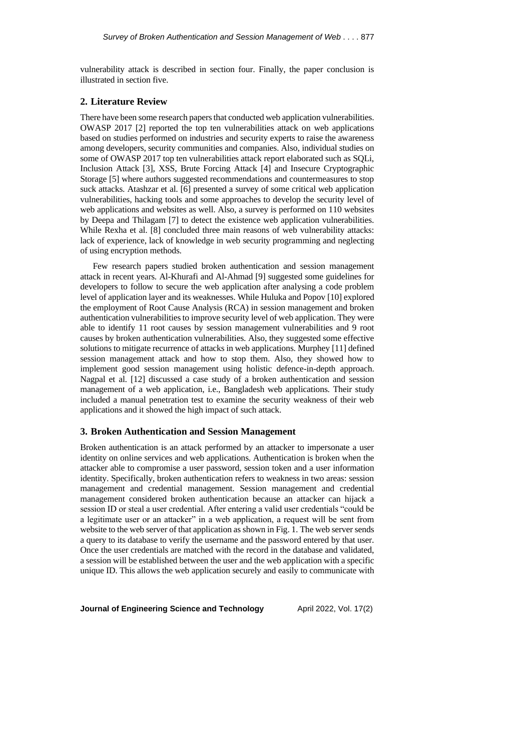vulnerability attack is described in section four. Finally, the paper conclusion is illustrated in section five.

### **2. Literature Review**

There have been some research papers that conducted web application vulnerabilities. OWASP 2017 [2] reported the top ten vulnerabilities attack on web applications based on studies performed on industries and security experts to raise the awareness among developers, security communities and companies. Also, individual studies on some of OWASP 2017 top ten vulnerabilities attack report elaborated such as SQLi, Inclusion Attack [3], XSS, Brute Forcing Attack [4] and Insecure Cryptographic Storage [5] where authors suggested recommendations and countermeasures to stop suck attacks. Atashzar et al. [6] presented a survey of some critical web application vulnerabilities, hacking tools and some approaches to develop the security level of web applications and websites as well. Also, a survey is performed on 110 websites by Deepa and Thilagam [7] to detect the existence web application vulnerabilities. While Rexha et al. [8] concluded three main reasons of web vulnerability attacks: lack of experience, lack of knowledge in web security programming and neglecting of using encryption methods.

Few research papers studied broken authentication and session management attack in recent years. Al-Khurafi and Al-Ahmad [9] suggested some guidelines for developers to follow to secure the web application after analysing a code problem level of application layer and its weaknesses. While Huluka and Popov [10] explored the employment of Root Cause Analysis (RCA) in session management and broken authentication vulnerabilities to improve security level of web application. They were able to identify 11 root causes by session management vulnerabilities and 9 root causes by broken authentication vulnerabilities. Also, they suggested some effective solutions to mitigate recurrence of attacks in web applications. Murphey [11] defined session management attack and how to stop them. Also, they showed how to implement good session management using holistic defence-in-depth approach. Nagpal et al. [12] discussed a case study of a broken authentication and session management of a web application, i.e., Bangladesh web applications. Their study included a manual penetration test to examine the security weakness of their web applications and it showed the high impact of such attack.

## **3. Broken Authentication and Session Management**

Broken authentication is an attack performed by an attacker to impersonate a user identity on online services and web applications. Authentication is broken when the attacker able to compromise a user password, session token and a user information identity. Specifically, broken authentication refers to weakness in two areas: session management and credential management. Session management and credential management considered broken authentication because an attacker can hijack a session ID or steal a user credential. After entering a valid user credentials "could be a legitimate user or an attacker" in a web application, a request will be sent from website to the web server of that application as shown in Fig. 1. The web server sends a query to its database to verify the username and the password entered by that user. Once the user credentials are matched with the record in the database and validated, a session will be established between the user and the web application with a specific unique ID. This allows the web application securely and easily to communicate with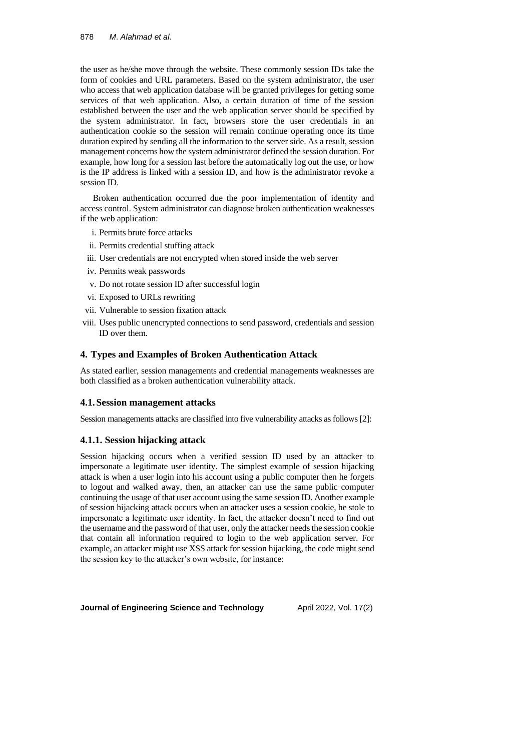the user as he/she move through the website. These commonly session IDs take the form of cookies and URL parameters. Based on the system administrator, the user who access that web application database will be granted privileges for getting some services of that web application. Also, a certain duration of time of the session established between the user and the web application server should be specified by the system administrator. In fact, browsers store the user credentials in an authentication cookie so the session will remain continue operating once its time duration expired by sending all the information to the server side. As a result, session management concerns how the system administrator defined the session duration. For example, how long for a session last before the automatically log out the use, or how is the IP address is linked with a session ID, and how is the administrator revoke a session ID.

Broken authentication occurred due the poor implementation of identity and access control. System administrator can diagnose broken authentication weaknesses if the web application:

- i. Permits brute force attacks
- ii. Permits credential stuffing attack
- iii. User credentials are not encrypted when stored inside the web server
- iv. Permits weak passwords
- v. Do not rotate session ID after successful login
- vi. Exposed to URLs rewriting
- vii. Vulnerable to session fixation attack
- viii. Uses public unencrypted connections to send password, credentials and session ID over them.

## **4. Types and Examples of Broken Authentication Attack**

As stated earlier, session managements and credential managements weaknesses are both classified as a broken authentication vulnerability attack.

## **4.1.Session management attacks**

Session managements attacks are classified into five vulnerability attacks as follows [2]:

## **4.1.1. Session hijacking attack**

Session hijacking occurs when a verified session ID used by an attacker to impersonate a legitimate user identity. The simplest example of session hijacking attack is when a user login into his account using a public computer then he forgets to logout and walked away, then, an attacker can use the same public computer continuing the usage of that user account using the same session ID. Another example of session hijacking attack occurs when an attacker uses a session cookie, he stole to impersonate a legitimate user identity. In fact, the attacker doesn't need to find out the username and the password of that user, only the attacker needs the session cookie that contain all information required to login to the web application server. For example, an attacker might use XSS attack for session hijacking, the code might send the session key to the attacker's own website, for instance: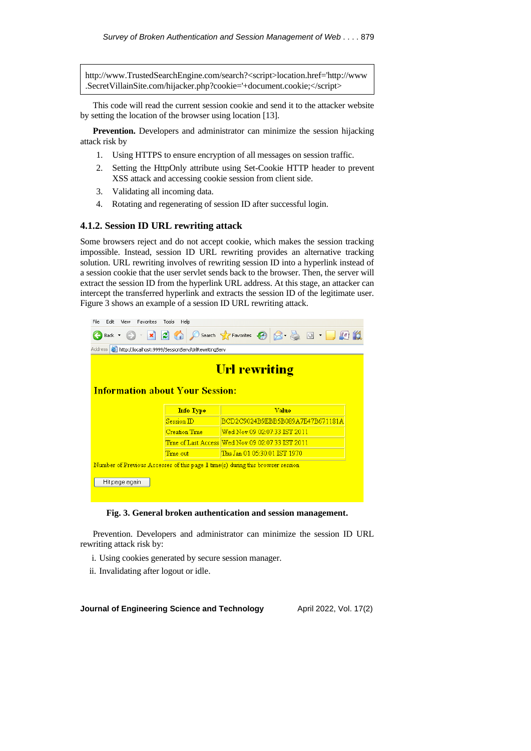http://www.TrustedSearchEngine.com/search?<script>location.href='http://www .SecretVillainSite.com/hijacker.php?cookie='+document.cookie;</script>

This code will read the current session cookie and send it to the attacker website by setting the location of the browser using location [13].

**Prevention.** Developers and administrator can minimize the session hijacking attack risk by

- 1. Using HTTPS to ensure encryption of all messages on session traffic.
- 2. Setting the HttpOnly attribute using Set-Cookie HTTP header to prevent XSS attack and accessing cookie session from client side.
- 3. Validating all incoming data.
- 4. Rotating and regenerating of session ID after successful login.

### **4.1.2. Session ID URL rewriting attack**

Some browsers reject and do not accept cookie, which makes the session tracking impossible. Instead, session ID URL rewriting provides an alternative tracking solution. URL rewriting involves of rewriting session ID into a hyperlink instead of a session cookie that the user servlet sends back to the browser. Then, the server will extract the session ID from the hyperlink URL address. At this stage, an attacker can intercept the transferred hyperlink and extracts the session ID of the legitimate user. Figure 3 shows an example of a session ID URL rewriting attack.





Prevention. Developers and administrator can minimize the session ID URL rewriting attack risk by:

- i. Using cookies generated by secure session manager.
- ii. Invalidating after logout or idle.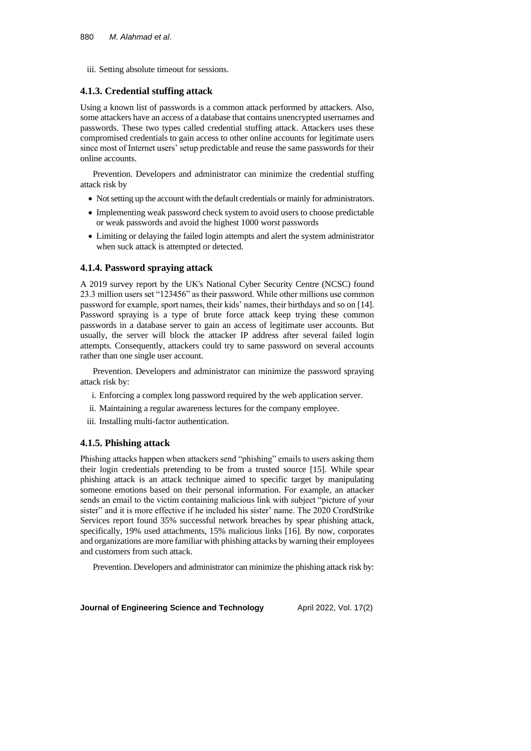iii. Setting absolute timeout for sessions.

# **4.1.3. Credential stuffing attack**

Using a known list of passwords is a common attack performed by attackers. Also, some attackers have an access of a database that contains unencrypted usernames and passwords. These two types called credential stuffing attack. Attackers uses these compromised credentials to gain access to other online accounts for legitimate users since most of Internet users' setup predictable and reuse the same passwords for their online accounts.

Prevention. Developers and administrator can minimize the credential stuffing attack risk by

- Not setting up the account with the default credentials or mainly for administrators.
- Implementing weak password check system to avoid users to choose predictable or weak passwords and avoid the highest 1000 worst passwords
- Limiting or delaying the failed login attempts and alert the system administrator when suck attack is attempted or detected.

# **4.1.4. Password spraying attack**

A 2019 survey report by the UK's National Cyber Security Centre (NCSC) found 23.3 million users set "123456" as their password. While other millions use common password for example, sport names, their kids' names, their birthdays and so on [14]. Password spraying is a type of brute force attack keep trying these common passwords in a database server to gain an access of legitimate user accounts. But usually, the server will block the attacker IP address after several failed login attempts. Consequently, attackers could try to same password on several accounts rather than one single user account.

Prevention. Developers and administrator can minimize the password spraying attack risk by:

- i. Enforcing a complex long password required by the web application server.
- ii. Maintaining a regular awareness lectures for the company employee.
- iii. Installing multi-factor authentication.

# **4.1.5. Phishing attack**

Phishing attacks happen when attackers send "phishing" emails to users asking them their login credentials pretending to be from a trusted source [15]. While spear phishing attack is an attack technique aimed to specific target by manipulating someone emotions based on their personal information. For example, an attacker sends an email to the victim containing malicious link with subject "picture of your sister" and it is more effective if he included his sister' name. The 2020 CrordStrike Services report found 35% successful network breaches by spear phishing attack, specifically, 19% used attachments, 15% malicious links [16]. By now, corporates and organizations are more familiar with phishing attacks by warning their employees and customers from such attack.

Prevention. Developers and administrator can minimize the phishing attack risk by: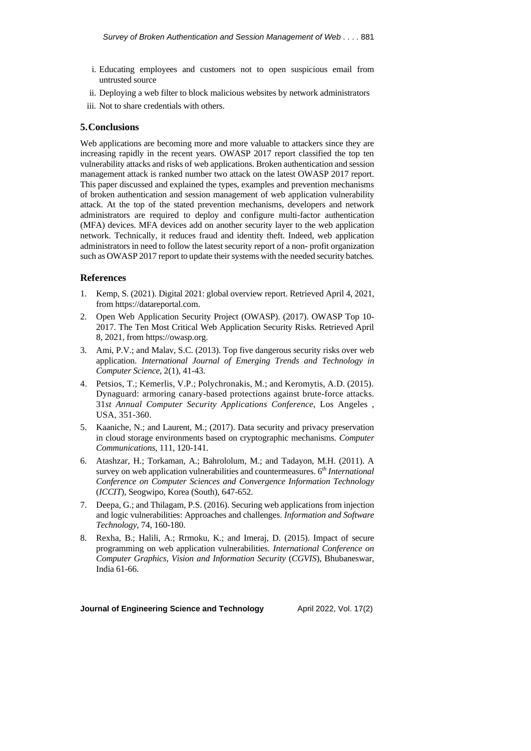- i. Educating employees and customers not to open suspicious email from untrusted source
- ii. Deploying a web filter to block malicious websites by network administrators
- iii. Not to share credentials with others.

#### **5.Conclusions**

Web applications are becoming more and more valuable to attackers since they are increasing rapidly in the recent years. OWASP 2017 report classified the top ten vulnerability attacks and risks of web applications. Broken authentication and session management attack is ranked number two attack on the latest OWASP 2017 report. This paper discussed and explained the types, examples and prevention mechanisms of broken authentication and session management of web application vulnerability attack. At the top of the stated prevention mechanisms, developers and network administrators are required to deploy and configure multi-factor authentication (MFA) devices. MFA devices add on another security layer to the web application network. Technically, it reduces fraud and identity theft. Indeed, web application administrators in need to follow the latest security report of a non- profit organization such as OWASP 2017 report to update their systems with the needed security batches.

### **References**

- 1. Kemp, S. (2021). Digital 2021: global overview report. Retrieved April 4, 2021, from https://datareportal.com.
- 2. Open Web Application Security Project (OWASP). (2017). OWASP Top 10- 2017. The Ten Most Critical Web Application Security Risks. Retrieved April 8, 2021, from https://owasp.org.
- 3. Ami, P.V.; and Malav, S.C. (2013). Top five dangerous security risks over web application. *International Journal of Emerging Trends and Technology in Computer Science*, 2(1), 41-43.
- 4. Petsios, T.; Kemerlis, V.P.; Polychronakis, M.; and Keromytis, A.D. (2015). Dynaguard: armoring canary-based protections against brute-force attacks. 31*st Annual Computer Security Applications Conference*, Los Angeles , USA, 351-360.
- 5. Kaaniche, N.; and Laurent, M.; (2017). Data security and privacy preservation in cloud storage environments based on cryptographic mechanisms. *Computer Communications*, 111, 120-141.
- 6. Atashzar, H.; Torkaman, A.; Bahrololum, M.; and Tadayon, M.H. (2011). A survey on web application vulnerabilities and countermeasures. 6 *th International Conference on Computer Sciences and Convergence Information Technology* (*ICCIT*), Seogwipo, Korea (South), 647-652.
- 7. Deepa, G.; and Thilagam, P.S. (2016). Securing web applications from injection and logic vulnerabilities: Approaches and challenges. *Information and Software Technology*, 74, 160-180.
- 8. Rexha, B.; Halili, A.; Rrmoku, K.; and Imeraj, D. (2015). Impact of secure programming on web application vulnerabilities. *International Conference on Computer Graphics*, *Vision and Information Security* (*CGVIS*), Bhubaneswar, India 61-66.